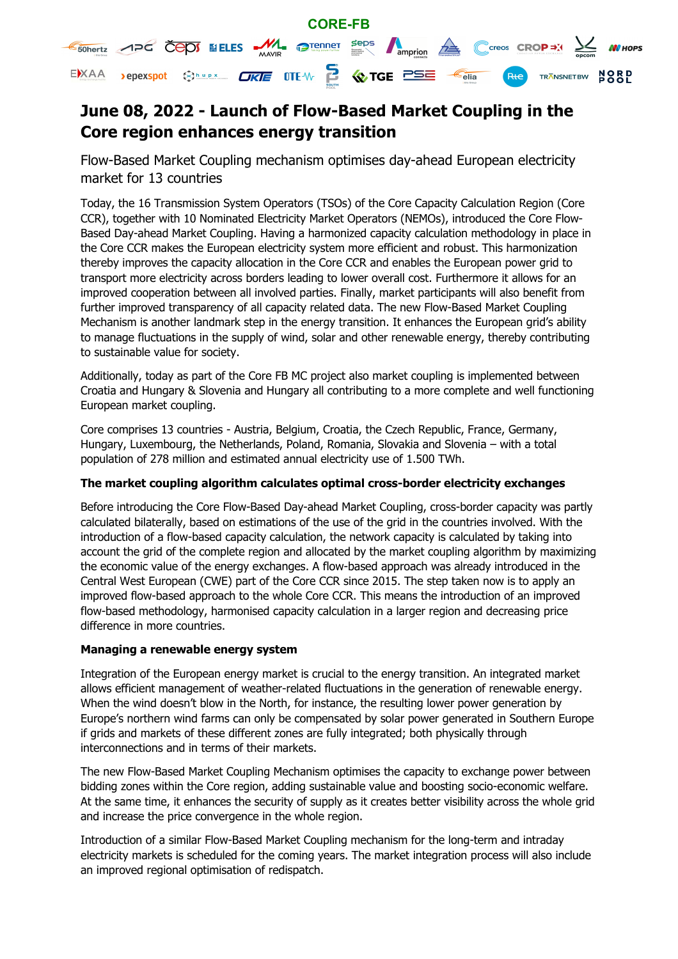

# **June 08, 2022 - Launch of Flow-Based Market Coupling in the Core region enhances energy transition**

Flow-Based Market Coupling mechanism optimises day-ahead European electricity market for 13 countries

Today, the 16 Transmission System Operators (TSOs) of the Core Capacity Calculation Region (Core CCR), together with 10 Nominated Electricity Market Operators (NEMOs), introduced the Core Flow-Based Day-ahead Market Coupling. Having a harmonized capacity calculation methodology in place in the Core CCR makes the European electricity system more efficient and robust. This harmonization thereby improves the capacity allocation in the Core CCR and enables the European power grid to transport more electricity across borders leading to lower overall cost. Furthermore it allows for an improved cooperation between all involved parties. Finally, market participants will also benefit from further improved transparency of all capacity related data. The new Flow-Based Market Coupling Mechanism is another landmark step in the energy transition. It enhances the European grid's ability to manage fluctuations in the supply of wind, solar and other renewable energy, thereby contributing to sustainable value for society.

Additionally, today as part of the Core FB MC project also market coupling is implemented between Croatia and Hungary & Slovenia and Hungary all contributing to a more complete and well functioning European market coupling.

Core comprises 13 countries - Austria, Belgium, Croatia, the Czech Republic, France, Germany, Hungary, Luxembourg, the Netherlands, Poland, Romania, Slovakia and Slovenia – with a total population of 278 million and estimated annual electricity use of 1.500 TWh.

# **The market coupling algorithm calculates optimal cross-border electricity exchanges**

Before introducing the Core Flow-Based Day-ahead Market Coupling, cross-border capacity was partly calculated bilaterally, based on estimations of the use of the grid in the countries involved. With the introduction of a flow-based capacity calculation, the network capacity is calculated by taking into account the grid of the complete region and allocated by the market coupling algorithm by maximizing the economic value of the energy exchanges. A flow-based approach was already introduced in the Central West European (CWE) part of the Core CCR since 2015. The step taken now is to apply an improved flow-based approach to the whole Core CCR. This means the introduction of an improved flow-based methodology, harmonised capacity calculation in a larger region and decreasing price difference in more countries.

## **Managing a renewable energy system**

Integration of the European energy market is crucial to the energy transition. An integrated market allows efficient management of weather-related fluctuations in the generation of renewable energy. When the wind doesn't blow in the North, for instance, the resulting lower power generation by Europe's northern wind farms can only be compensated by solar power generated in Southern Europe if grids and markets of these different zones are fully integrated; both physically through interconnections and in terms of their markets.

The new Flow-Based Market Coupling Mechanism optimises the capacity to exchange power between bidding zones within the Core region, adding sustainable value and boosting socio-economic welfare. At the same time, it enhances the security of supply as it creates better visibility across the whole grid and increase the price convergence in the whole region.

Introduction of a similar Flow-Based Market Coupling mechanism for the long-term and intraday electricity markets is scheduled for the coming years. The market integration process will also include an improved regional optimisation of redispatch.